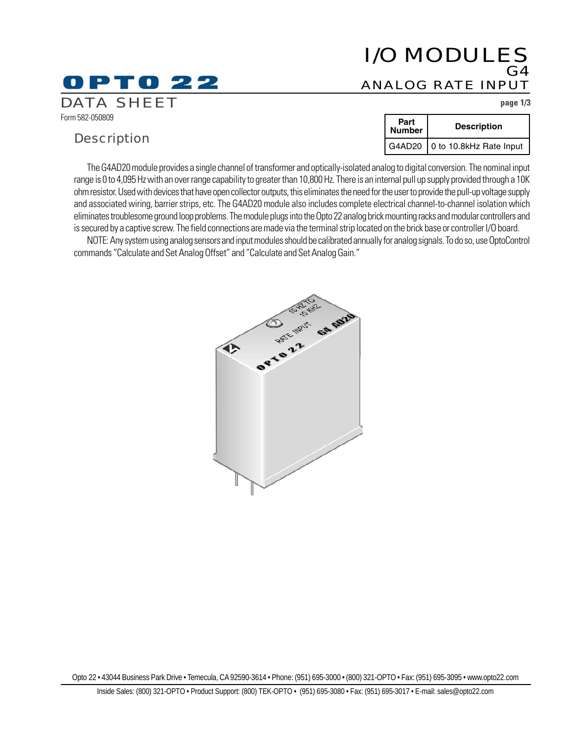# I/O MODULES G4 ANALOG RATE INPUT

DATA SHEET **page 1/3**

Form 582-050809

# **Description**

O P T O 22

| Part<br>Number | <b>Description</b>               |
|----------------|----------------------------------|
|                | G4AD20   0 to 10.8kHz Rate Input |

The G4AD20 module provides a single channel of transformer and optically-isolated analog to digital conversion. The nominal input range is 0 to 4,095 Hz with an over range capability to greater than 10,800 Hz. There is an internal pull up supply provided through a 10K ohm resistor. Used with devices that have open collector outputs, this eliminates the need for the user to provide the pull-up voltage supply and associated wiring, barrier strips, etc. The G4AD20 module also includes complete electrical channel-to-channel isolation which eliminates troublesome ground loop problems. The module plugs into the Opto 22 analog brick mounting racks and modular controllers and is secured by a captive screw. The field connections are made via the terminal strip located on the brick base or controller I/O board.

NOTE: Any system using analog sensors and input modules should be calibrated annually for analog signals. To do so, use OptoControl commands "Calculate and Set Analog Offset" and "Calculate and Set Analog Gain."



Opto 22 • 43044 Business Park Drive • Temecula, CA 92590-3614 • Phone: (951) 695-3000 • (800) 321-OPTO • Fax: (951) 695-3095 • www.opto22.com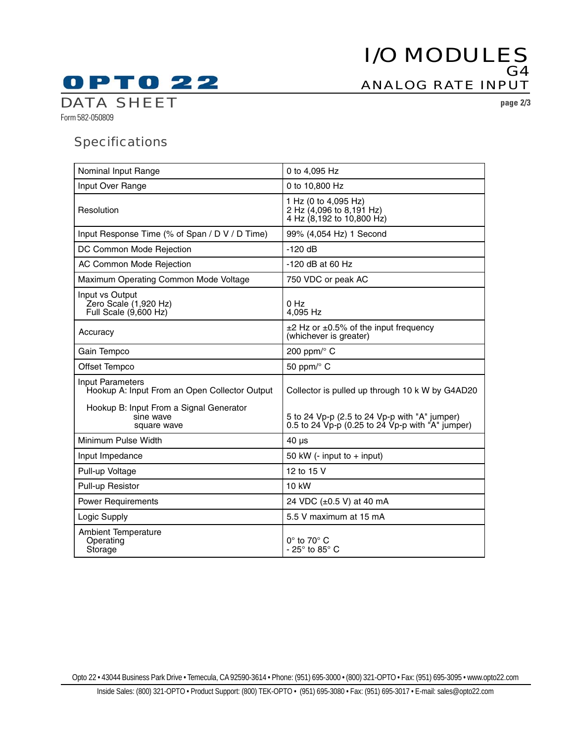# I/O MODULES G4 ANALOG RATE INPUT

**OPTO 22 DATA SHEET** page 2/3

Form 582-050809

# **Specifications**

| Nominal Input Range                                                        | 0 to 4,095 Hz                                                                                         |
|----------------------------------------------------------------------------|-------------------------------------------------------------------------------------------------------|
| Input Over Range                                                           | 0 to 10,800 Hz                                                                                        |
| Resolution                                                                 | 1 Hz (0 to 4,095 Hz)<br>2 Hz (4,096 to 8,191 Hz)<br>4 Hz (8,192 to 10,800 Hz)                         |
| Input Response Time (% of Span / D V / D Time)                             | 99% (4,054 Hz) 1 Second                                                                               |
| DC Common Mode Rejection                                                   | $-120$ dB                                                                                             |
| AC Common Mode Rejection                                                   | $-120$ dB at 60 Hz                                                                                    |
| Maximum Operating Common Mode Voltage                                      | 750 VDC or peak AC                                                                                    |
| Input vs Output<br>Zero Scale (1,920 Hz)<br>Full Scale $(\dot{9}, 600$ Hz) | 0 Hz<br>4,095 Hz                                                                                      |
| Accuracy                                                                   | $\pm$ 2 Hz or $\pm$ 0.5% of the input frequency<br>(whichever is greater)                             |
| Gain Tempco                                                                | 200 ppm/ $\degree$ C                                                                                  |
| Offset Tempco                                                              | 50 ppm/° C                                                                                            |
|                                                                            |                                                                                                       |
| <b>Input Parameters</b><br>Hookup A: Input From an Open Collector Output   | Collector is pulled up through 10 k W by G4AD20                                                       |
| Hookup B: Input From a Signal Generator<br>sine wave<br>square wave        | 5 to 24 Vp-p (2.5 to 24 Vp-p with "A" jumper)<br>0.5 to 24 $Vp-p$ (0.25 to 24 $Vp-p$ with "A" jumper) |
| Minimum Pulse Width                                                        | $40 \mu s$                                                                                            |
| Input Impedance                                                            | 50 kW (- input to + input)                                                                            |
| Pull-up Voltage                                                            | 12 to 15 V                                                                                            |
| Pull-up Resistor                                                           | 10 kW                                                                                                 |
| <b>Power Requirements</b>                                                  | 24 VDC (±0.5 V) at 40 mA                                                                              |
| Logic Supply                                                               | 5.5 V maximum at 15 mA                                                                                |

Opto 22 • 43044 Business Park Drive • Temecula, CA 92590-3614 • Phone: (951) 695-3000 • (800) 321-OPTO • Fax: (951) 695-3095 • www.opto22.com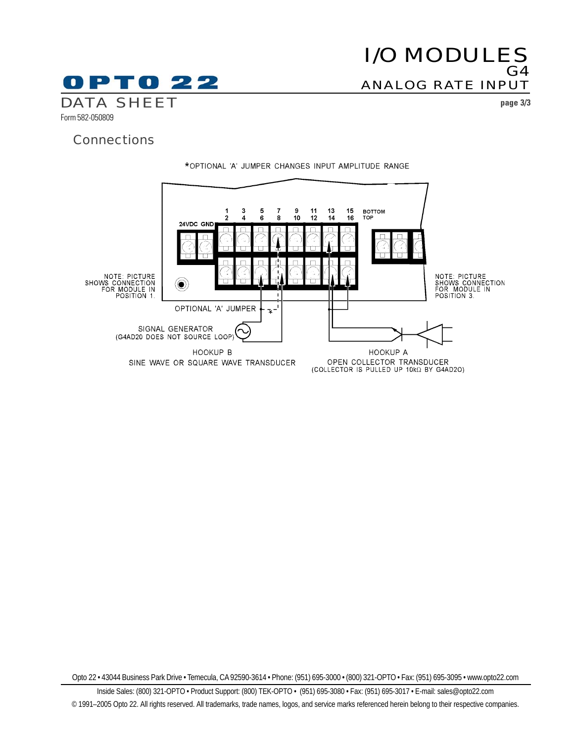# I/O MODULES  $G4$ ANALOG RATE INPUT

0 P T 0 2 2 DATA SHEET **page 3/3** Form 582-050809

## **Connections**



Opto 22 • 43044 Business Park Drive • Temecula, CA 92590-3614 • Phone: (951) 695-3000 • (800) 321-OPTO • Fax: (951) 695-3095 • www.opto22.com